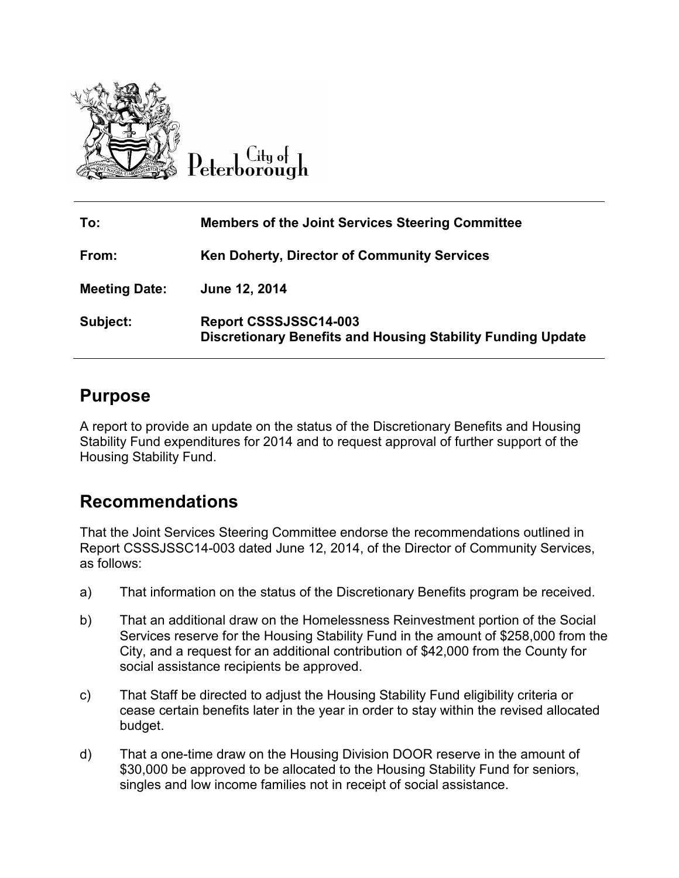

Litu of Peterborough

| To:                  | <b>Members of the Joint Services Steering Committee</b>                                     |
|----------------------|---------------------------------------------------------------------------------------------|
| From:                | Ken Doherty, Director of Community Services                                                 |
| <b>Meeting Date:</b> | June 12, 2014                                                                               |
| Subject:             | Report CSSSJSSC14-003<br><b>Discretionary Benefits and Housing Stability Funding Update</b> |

### **Purpose**

A report to provide an update on the status of the Discretionary Benefits and Housing Stability Fund expenditures for 2014 and to request approval of further support of the Housing Stability Fund.

## **Recommendations**

That the Joint Services Steering Committee endorse the recommendations outlined in Report CSSSJSSC14-003 dated June 12, 2014, of the Director of Community Services, as follows:

- a) That information on the status of the Discretionary Benefits program be received.
- b) That an additional draw on the Homelessness Reinvestment portion of the Social Services reserve for the Housing Stability Fund in the amount of \$258,000 from the City, and a request for an additional contribution of \$42,000 from the County for social assistance recipients be approved.
- c) That Staff be directed to adjust the Housing Stability Fund eligibility criteria or cease certain benefits later in the year in order to stay within the revised allocated budget.
- d) That a one-time draw on the Housing Division DOOR reserve in the amount of \$30,000 be approved to be allocated to the Housing Stability Fund for seniors, singles and low income families not in receipt of social assistance.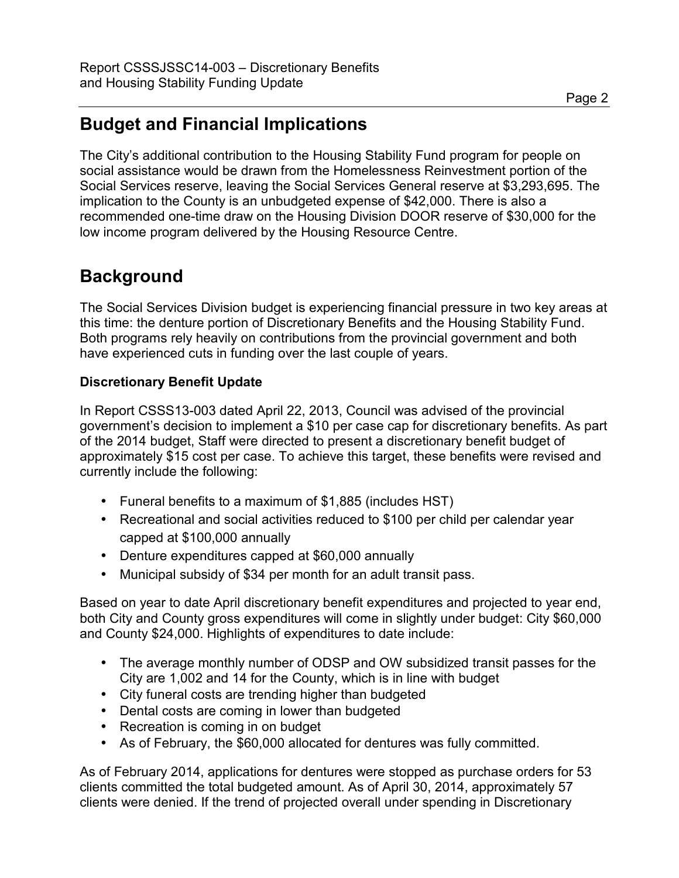# **Budget and Financial Implications**

The City's additional contribution to the Housing Stability Fund program for people on social assistance would be drawn from the Homelessness Reinvestment portion of the Social Services reserve, leaving the Social Services General reserve at \$3,293,695. The implication to the County is an unbudgeted expense of \$42,000. There is also a recommended one-time draw on the Housing Division DOOR reserve of \$30,000 for the low income program delivered by the Housing Resource Centre.

# **Background**

The Social Services Division budget is experiencing financial pressure in two key areas at this time: the denture portion of Discretionary Benefits and the Housing Stability Fund. Both programs rely heavily on contributions from the provincial government and both have experienced cuts in funding over the last couple of years.

### **Discretionary Benefit Update**

In Report CSSS13-003 dated April 22, 2013, Council was advised of the provincial government's decision to implement a \$10 per case cap for discretionary benefits. As part of the 2014 budget, Staff were directed to present a discretionary benefit budget of approximately \$15 cost per case. To achieve this target, these benefits were revised and currently include the following:

- Funeral benefits to a maximum of \$1,885 (includes HST)
- Recreational and social activities reduced to \$100 per child per calendar year capped at \$100,000 annually
- Denture expenditures capped at \$60,000 annually
- Municipal subsidy of \$34 per month for an adult transit pass.

Based on year to date April discretionary benefit expenditures and projected to year end, both City and County gross expenditures will come in slightly under budget: City \$60,000 and County \$24,000. Highlights of expenditures to date include:

- The average monthly number of ODSP and OW subsidized transit passes for the City are 1,002 and 14 for the County, which is in line with budget
- City funeral costs are trending higher than budgeted
- Dental costs are coming in lower than budgeted
- Recreation is coming in on budget
- As of February, the \$60,000 allocated for dentures was fully committed.

As of February 2014, applications for dentures were stopped as purchase orders for 53 clients committed the total budgeted amount. As of April 30, 2014, approximately 57 clients were denied. If the trend of projected overall under spending in Discretionary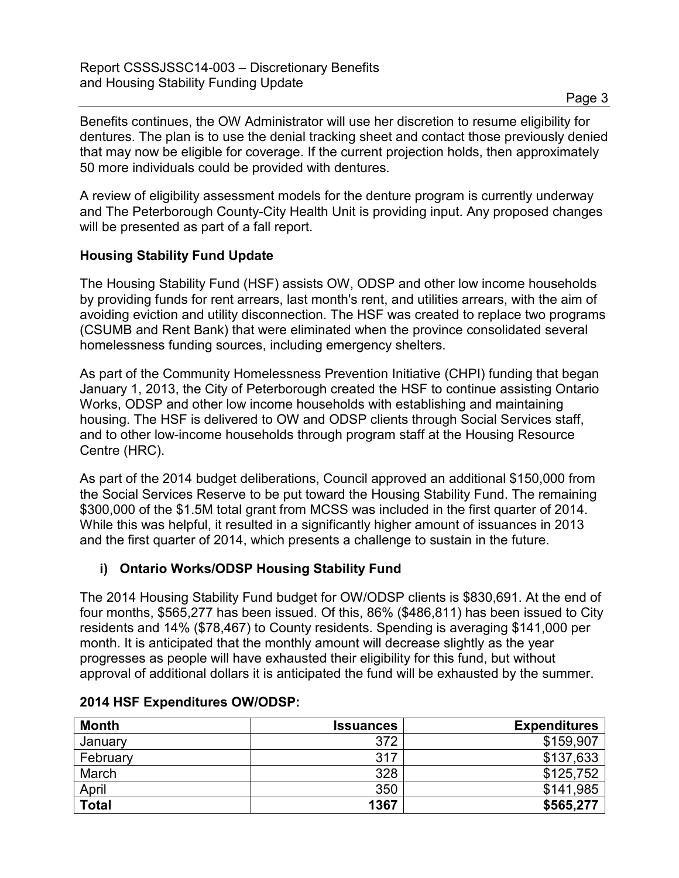Benefits continues, the OW Administrator will use her discretion to resume eligibility for dentures. The plan is to use the denial tracking sheet and contact those previously denied that may now be eligible for coverage. If the current projection holds, then approximately 50 more individuals could be provided with dentures.

A review of eligibility assessment models for the denture program is currently underway and The Peterborough County-City Health Unit is providing input. Any proposed changes will be presented as part of a fall report.

### **Housing Stability Fund Update**

The Housing Stability Fund (HSF) assists OW, ODSP and other low income households by providing funds for rent arrears, last month's rent, and utilities arrears, with the aim of avoiding eviction and utility disconnection. The HSF was created to replace two programs (CSUMB and Rent Bank) that were eliminated when the province consolidated several homelessness funding sources, including emergency shelters.

As part of the Community Homelessness Prevention Initiative (CHPI) funding that began January 1, 2013, the City of Peterborough created the HSF to continue assisting Ontario Works, ODSP and other low income households with establishing and maintaining housing. The HSF is delivered to OW and ODSP clients through Social Services staff, and to other low-income households through program staff at the Housing Resource Centre (HRC).

As part of the 2014 budget deliberations, Council approved an additional \$150,000 from the Social Services Reserve to be put toward the Housing Stability Fund. The remaining \$300,000 of the \$1.5M total grant from MCSS was included in the first quarter of 2014. While this was helpful, it resulted in a significantly higher amount of issuances in 2013 and the first quarter of 2014, which presents a challenge to sustain in the future.

#### **i) Ontario Works/ODSP Housing Stability Fund**

The 2014 Housing Stability Fund budget for OW/ODSP clients is \$830,691. At the end of four months, \$565,277 has been issued. Of this, 86% (\$486,811) has been issued to City residents and 14% (\$78,467) to County residents. Spending is averaging \$141,000 per month. It is anticipated that the monthly amount will decrease slightly as the year progresses as people will have exhausted their eligibility for this fund, but without approval of additional dollars it is anticipated the fund will be exhausted by the summer.

| <b>Month</b> | <b>Issuances</b> | <b>Expenditures</b> |
|--------------|------------------|---------------------|
| January      | 372              | \$159,907           |
| February     | 317              | \$137,633           |
| March        | 328              | \$125,752           |
| April        | 350              | \$141,985           |
| <b>Total</b> | 1367             | \$565,277           |

#### **2014 HSF Expenditures OW/ODSP:**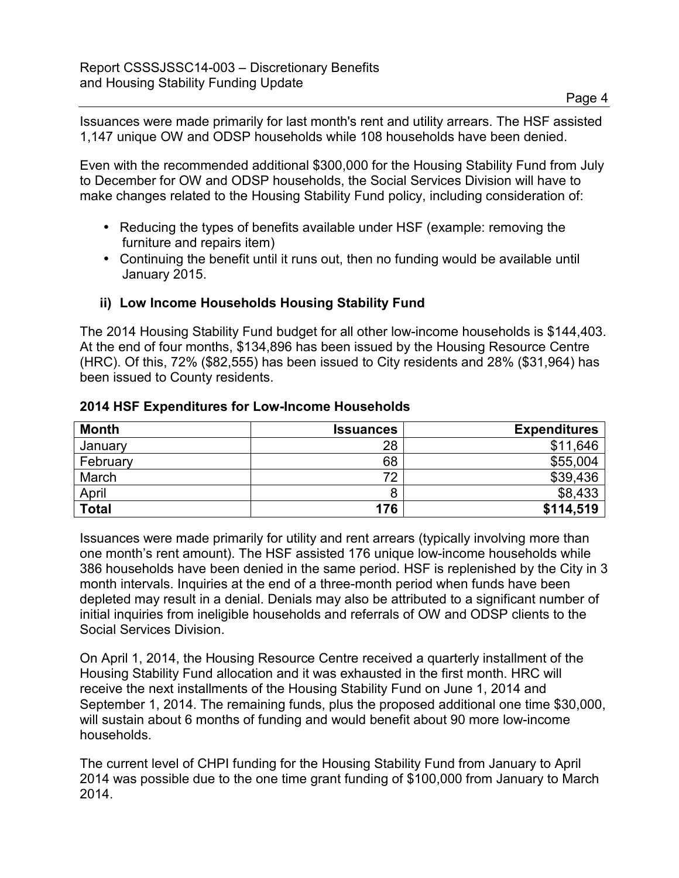Issuances were made primarily for last month's rent and utility arrears. The HSF assisted 1,147 unique OW and ODSP households while 108 households have been denied.

Even with the recommended additional \$300,000 for the Housing Stability Fund from July to December for OW and ODSP households, the Social Services Division will have to make changes related to the Housing Stability Fund policy, including consideration of:

- Reducing the types of benefits available under HSF (example: removing the furniture and repairs item)
- Continuing the benefit until it runs out, then no funding would be available until January 2015.

#### **ii) Low Income Households Housing Stability Fund**

The 2014 Housing Stability Fund budget for all other low-income households is \$144,403. At the end of four months, \$134,896 has been issued by the Housing Resource Centre (HRC). Of this, 72% (\$82,555) has been issued to City residents and 28% (\$31,964) has been issued to County residents.

#### **2014 HSF Expenditures for Low-Income Households**

| <b>Month</b> | <b>Issuances</b> | <b>Expenditures</b> |
|--------------|------------------|---------------------|
| January      | 28               | \$11,646            |
| February     | 68               | \$55,004            |
| March        | 72               | \$39,436            |
| April        |                  | \$8,433             |
| <b>Total</b> | 176              | \$114,519           |

Issuances were made primarily for utility and rent arrears (typically involving more than one month's rent amount). The HSF assisted 176 unique low-income households while 386 households have been denied in the same period. HSF is replenished by the City in 3 month intervals. Inquiries at the end of a three-month period when funds have been depleted may result in a denial. Denials may also be attributed to a significant number of initial inquiries from ineligible households and referrals of OW and ODSP clients to the Social Services Division.

On April 1, 2014, the Housing Resource Centre received a quarterly installment of the Housing Stability Fund allocation and it was exhausted in the first month. HRC will receive the next installments of the Housing Stability Fund on June 1, 2014 and September 1, 2014. The remaining funds, plus the proposed additional one time \$30,000, will sustain about 6 months of funding and would benefit about 90 more low-income households.

The current level of CHPI funding for the Housing Stability Fund from January to April 2014 was possible due to the one time grant funding of \$100,000 from January to March 2014.